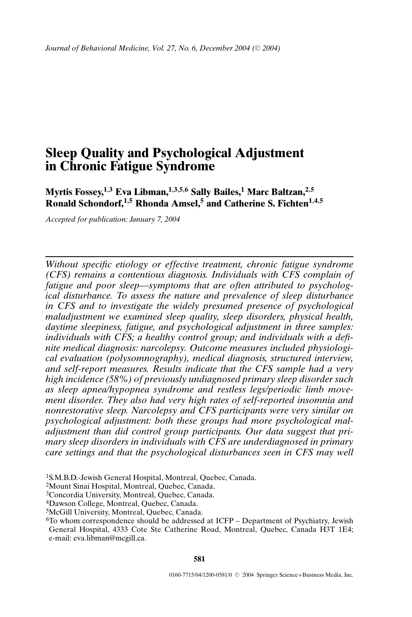# **Sleep Quality and Psychological Adjustment in Chronic Fatigue Syndrome**

**Myrtis Fossey,<sup>1</sup>***,***<sup>3</sup> Eva Libman,<sup>1</sup>***,***3***,***5***,***<sup>6</sup> Sally Bailes,<sup>1</sup> Marc Baltzan,<sup>2</sup>***,***<sup>5</sup> Ronald Schondorf,<sup>1</sup>***,***<sup>5</sup> Rhonda Amsel,<sup>5</sup> and Catherine S. Fichten<sup>1</sup>***,***4***,***<sup>5</sup>**

*Accepted for publication: January 7, 2004*

*Without specific etiology or effective treatment, chronic fatigue syndrome (CFS) remains a contentious diagnosis. Individuals with CFS complain of fatigue and poor sleep—symptoms that are often attributed to psychological disturbance. To assess the nature and prevalence of sleep disturbance in CFS and to investigate the widely presumed presence of psychological maladjustment we examined sleep quality, sleep disorders, physical health, daytime sleepiness, fatigue, and psychological adjustment in three samples: individuals with CFS; a healthy control group; and individuals with a definite medical diagnosis: narcolepsy. Outcome measures included physiological evaluation (polysomnography), medical diagnosis, structured interview, and self-report measures. Results indicate that the CFS sample had a very high incidence (58%) of previously undiagnosed primary sleep disorder such as sleep apnea/hypopnea syndrome and restless legs/periodic limb movement disorder. They also had very high rates of self-reported insomnia and nonrestorative sleep. Narcolepsy and CFS participants were very similar on psychological adjustment: both these groups had more psychological maladjustment than did control group participants. Our data suggest that primary sleep disorders in individuals with CFS are underdiagnosed in primary care settings and that the psychological disturbances seen in CFS may well*

1S.M.B.D.-Jewish General Hospital, Montreal, Quebec, Canada.

2Mount Sinai Hospital, Montreal, Quebec, Canada.

3Concordia University, Montreal, Quebec, Canada.

5McGill University, Montreal, Quebec, Canada.

<sup>4</sup>Dawson College, Montreal, Quebec, Canada.

<sup>6</sup>To whom correspondence should be addressed at ICFP – Department of Psychiatry, Jewish General Hospital, 4333 Cote Ste Catherine Road, Montreal, Quebec, Canada H3T 1E4; e-mail: eva.libman@mcgill.ca.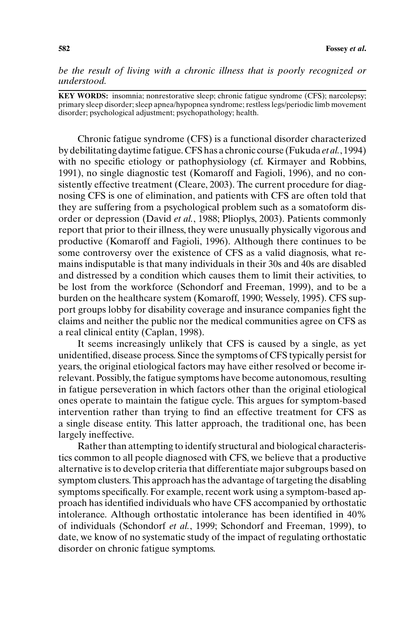*be the result of living with a chronic illness that is poorly recognized or understood.*

**KEY WORDS:** insomnia; nonrestorative sleep; chronic fatigue syndrome (CFS); narcolepsy; primary sleep disorder; sleep apnea/hypopnea syndrome; restless legs/periodic limb movement disorder; psychological adjustment; psychopathology; health.

Chronic fatigue syndrome (CFS) is a functional disorder characterized by debilitating daytime fatigue. CFS has a chronic course (Fukuda *et al.*, 1994) with no specific etiology or pathophysiology (cf. Kirmayer and Robbins, 1991), no single diagnostic test (Komaroff and Fagioli, 1996), and no consistently effective treatment (Cleare, 2003). The current procedure for diagnosing CFS is one of elimination, and patients with CFS are often told that they are suffering from a psychological problem such as a somatoform disorder or depression (David *et al.*, 1988; Plioplys, 2003). Patients commonly report that prior to their illness, they were unusually physically vigorous and productive (Komaroff and Fagioli, 1996). Although there continues to be some controversy over the existence of CFS as a valid diagnosis, what remains indisputable is that many individuals in their 30s and 40s are disabled and distressed by a condition which causes them to limit their activities, to be lost from the workforce (Schondorf and Freeman, 1999), and to be a burden on the healthcare system (Komaroff, 1990; Wessely, 1995). CFS support groups lobby for disability coverage and insurance companies fight the claims and neither the public nor the medical communities agree on CFS as a real clinical entity (Caplan, 1998).

It seems increasingly unlikely that CFS is caused by a single, as yet unidentified, disease process. Since the symptoms of CFS typically persist for years, the original etiological factors may have either resolved or become irrelevant. Possibly, the fatigue symptoms have become autonomous, resulting in fatigue perseveration in which factors other than the original etiological ones operate to maintain the fatigue cycle. This argues for symptom-based intervention rather than trying to find an effective treatment for CFS as a single disease entity. This latter approach, the traditional one, has been largely ineffective.

Rather than attempting to identify structural and biological characteristics common to all people diagnosed with CFS, we believe that a productive alternative is to develop criteria that differentiate major subgroups based on symptom clusters. This approach has the advantage of targeting the disabling symptoms specifically. For example, recent work using a symptom-based approach has identified individuals who have CFS accompanied by orthostatic intolerance. Although orthostatic intolerance has been identified in 40% of individuals (Schondorf *et al.*, 1999; Schondorf and Freeman, 1999), to date, we know of no systematic study of the impact of regulating orthostatic disorder on chronic fatigue symptoms.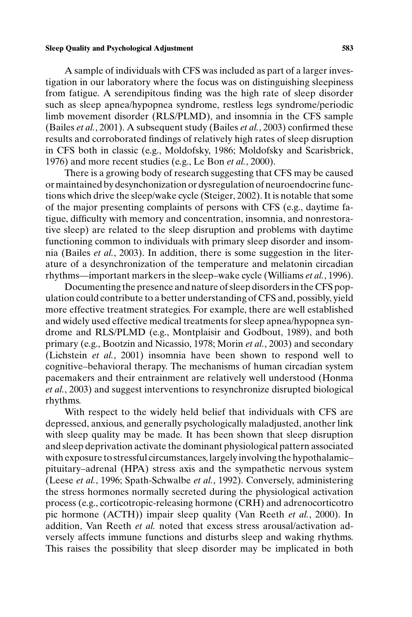A sample of individuals with CFS was included as part of a larger investigation in our laboratory where the focus was on distinguishing sleepiness from fatigue. A serendipitous finding was the high rate of sleep disorder such as sleep apnea/hypopnea syndrome, restless legs syndrome/periodic limb movement disorder (RLS/PLMD), and insomnia in the CFS sample (Bailes *et al.*, 2001). A subsequent study (Bailes *et al.*, 2003) confirmed these results and corroborated findings of relatively high rates of sleep disruption in CFS both in classic (e.g., Moldofsky, 1986; Moldofsky and Scarisbrick, 1976) and more recent studies (e.g., Le Bon *et al.*, 2000).

There is a growing body of research suggesting that CFS may be caused or maintained by desynchonization or dysregulation of neuroendocrine functions which drive the sleep/wake cycle (Steiger, 2002). It is notable that some of the major presenting complaints of persons with CFS (e.g., daytime fatigue, difficulty with memory and concentration, insomnia, and nonrestorative sleep) are related to the sleep disruption and problems with daytime functioning common to individuals with primary sleep disorder and insomnia (Bailes *et al.*, 2003). In addition, there is some suggestion in the literature of a desynchronization of the temperature and melatonin circadian rhythms—important markers in the sleep–wake cycle (Williams *et al.*, 1996).

Documenting the presence and nature of sleep disorders in the CFS population could contribute to a better understanding of CFS and, possibly, yield more effective treatment strategies. For example, there are well established and widely used effective medical treatments for sleep apnea/hypopnea syndrome and RLS/PLMD (e.g., Montplaisir and Godbout, 1989), and both primary (e.g., Bootzin and Nicassio, 1978; Morin *et al.*, 2003) and secondary (Lichstein *et al.*, 2001) insomnia have been shown to respond well to cognitive–behavioral therapy. The mechanisms of human circadian system pacemakers and their entrainment are relatively well understood (Honma *et al.*, 2003) and suggest interventions to resynchronize disrupted biological rhythms.

With respect to the widely held belief that individuals with CFS are depressed, anxious, and generally psychologically maladjusted, another link with sleep quality may be made. It has been shown that sleep disruption and sleep deprivation activate the dominant physiological pattern associated with exposure to stressful circumstances, largely involving the hypothalamic– pituitary–adrenal (HPA) stress axis and the sympathetic nervous system (Leese *et al.*, 1996; Spath-Schwalbe *et al.*, 1992). Conversely, administering the stress hormones normally secreted during the physiological activation process (e.g., corticotropic-releasing hormone (CRH) and adrenocorticotro pic hormone (ACTH)) impair sleep quality (Van Reeth *et al.*, 2000). In addition, Van Reeth et al. noted that excess stress arousal/activation adversely affects immune functions and disturbs sleep and waking rhythms. This raises the possibility that sleep disorder may be implicated in both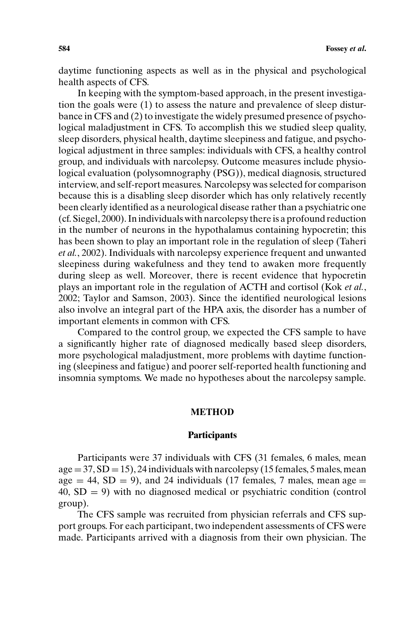daytime functioning aspects as well as in the physical and psychological health aspects of CFS.

In keeping with the symptom-based approach, in the present investigation the goals were (1) to assess the nature and prevalence of sleep disturbance in CFS and (2) to investigate the widely presumed presence of psychological maladjustment in CFS. To accomplish this we studied sleep quality, sleep disorders, physical health, daytime sleepiness and fatigue, and psychological adjustment in three samples: individuals with CFS, a healthy control group, and individuals with narcolepsy. Outcome measures include physiological evaluation (polysomnography (PSG)), medical diagnosis, structured interview, and self-report measures. Narcolepsy was selected for comparison because this is a disabling sleep disorder which has only relatively recently been clearly identified as a neurological disease rather than a psychiatric one (cf. Siegel, 2000). In individuals with narcolepsy there is a profound reduction in the number of neurons in the hypothalamus containing hypocretin; this has been shown to play an important role in the regulation of sleep (Taheri *et al.*, 2002). Individuals with narcolepsy experience frequent and unwanted sleepiness during wakefulness and they tend to awaken more frequently during sleep as well. Moreover, there is recent evidence that hypocretin plays an important role in the regulation of ACTH and cortisol (Kok *et al.*, 2002; Taylor and Samson, 2003). Since the identified neurological lesions also involve an integral part of the HPA axis, the disorder has a number of important elements in common with CFS.

Compared to the control group, we expected the CFS sample to have a significantly higher rate of diagnosed medically based sleep disorders, more psychological maladjustment, more problems with daytime functioning (sleepiness and fatigue) and poorer self-reported health functioning and insomnia symptoms. We made no hypotheses about the narcolepsy sample.

#### **METHOD**

### **Participants**

Participants were 37 individuals with CFS (31 females, 6 males, mean  $age = 37, SD = 15$ , 24 individuals with narcolepsy (15 females, 5 males, mean age  $= 44$ , SD  $= 9$ ), and 24 individuals (17 females, 7 males, mean age  $=$  $40, SD = 9$ ) with no diagnosed medical or psychiatric condition (control group).

The CFS sample was recruited from physician referrals and CFS support groups. For each participant, two independent assessments of CFS were made. Participants arrived with a diagnosis from their own physician. The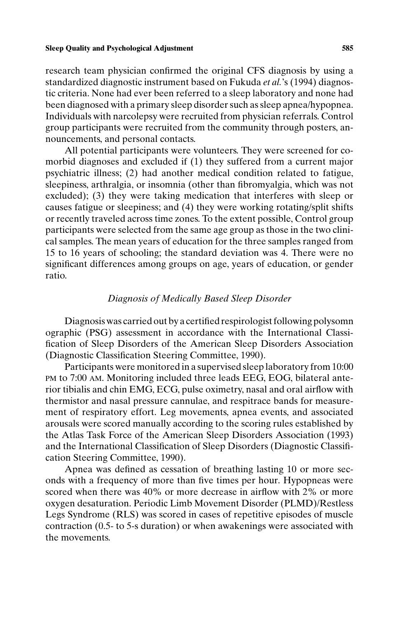research team physician confirmed the original CFS diagnosis by using a standardized diagnostic instrument based on Fukuda *et al.*'s (1994) diagnostic criteria. None had ever been referred to a sleep laboratory and none had been diagnosed with a primary sleep disorder such as sleep apnea/hypopnea. Individuals with narcolepsy were recruited from physician referrals. Control group participants were recruited from the community through posters, announcements, and personal contacts.

All potential participants were volunteers. They were screened for comorbid diagnoses and excluded if (1) they suffered from a current major psychiatric illness; (2) had another medical condition related to fatigue, sleepiness, arthralgia, or insomnia (other than fibromyalgia, which was not excluded); (3) they were taking medication that interferes with sleep or causes fatigue or sleepiness; and (4) they were working rotating/split shifts or recently traveled across time zones. To the extent possible, Control group participants were selected from the same age group as those in the two clinical samples. The mean years of education for the three samples ranged from 15 to 16 years of schooling; the standard deviation was 4. There were no significant differences among groups on age, years of education, or gender ratio.

# *Diagnosis of Medically Based Sleep Disorder*

Diagnosis was carried out by a certified respirologist following polysomn ographic (PSG) assessment in accordance with the International Classification of Sleep Disorders of the American Sleep Disorders Association (Diagnostic Classification Steering Committee, 1990).

Participants were monitored in a supervised sleep laboratory from 10:00 PM to 7:00 AM. Monitoring included three leads EEG, EOG, bilateral anterior tibialis and chin EMG, ECG, pulse oximetry, nasal and oral airflow with thermistor and nasal pressure cannulae, and respitrace bands for measurement of respiratory effort. Leg movements, apnea events, and associated arousals were scored manually according to the scoring rules established by the Atlas Task Force of the American Sleep Disorders Association (1993) and the International Classification of Sleep Disorders (Diagnostic Classification Steering Committee, 1990).

Apnea was defined as cessation of breathing lasting 10 or more seconds with a frequency of more than five times per hour. Hypopneas were scored when there was 40% or more decrease in airflow with 2% or more oxygen desaturation. Periodic Limb Movement Disorder (PLMD)/Restless Legs Syndrome (RLS) was scored in cases of repetitive episodes of muscle contraction (0.5- to 5-s duration) or when awakenings were associated with the movements.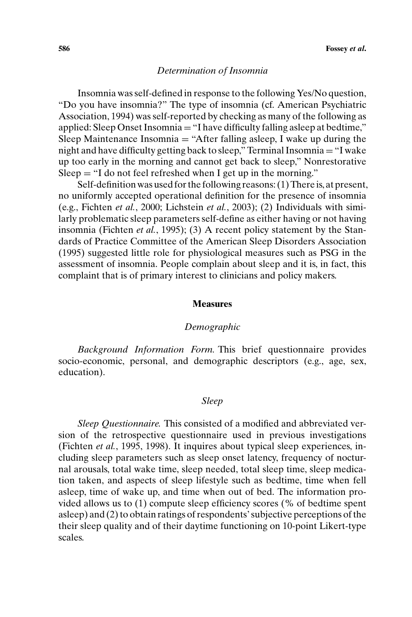### *Determination of Insomnia*

Insomnia was self-defined in response to the following Yes/No question, "Do you have insomnia?" The type of insomnia (cf. American Psychiatric Association, 1994) was self-reported by checking as many of the following as applied: Sleep Onset Insomnia = "I have difficulty falling asleep at bedtime," Sleep Maintenance Insomnia  $=$  "After falling asleep, I wake up during the night and have difficulty getting back to sleep,"Terminal Insomnia = "I wake up too early in the morning and cannot get back to sleep," Nonrestorative Sleep  $=$  "I do not feel refreshed when I get up in the morning."

Self-definition was used for the following reasons: (1) There is, at present, no uniformly accepted operational definition for the presence of insomnia (e.g., Fichten *et al.*, 2000; Lichstein *et al.*, 2003); (2) Individuals with similarly problematic sleep parameters self-define as either having or not having insomnia (Fichten *et al.*, 1995); (3) A recent policy statement by the Standards of Practice Committee of the American Sleep Disorders Association (1995) suggested little role for physiological measures such as PSG in the assessment of insomnia. People complain about sleep and it is, in fact, this complaint that is of primary interest to clinicians and policy makers.

#### **Measures**

#### *Demographic*

*Background Information Form.* This brief questionnaire provides socio-economic, personal, and demographic descriptors (e.g., age, sex, education).

# *Sleep*

*Sleep Questionnaire.* This consisted of a modified and abbreviated version of the retrospective questionnaire used in previous investigations (Fichten *et al.*, 1995, 1998). It inquires about typical sleep experiences, including sleep parameters such as sleep onset latency, frequency of nocturnal arousals, total wake time, sleep needed, total sleep time, sleep medication taken, and aspects of sleep lifestyle such as bedtime, time when fell asleep, time of wake up, and time when out of bed. The information provided allows us to (1) compute sleep efficiency scores (% of bedtime spent asleep) and (2) to obtain ratings of respondents'subjective perceptions of the their sleep quality and of their daytime functioning on 10-point Likert-type scales.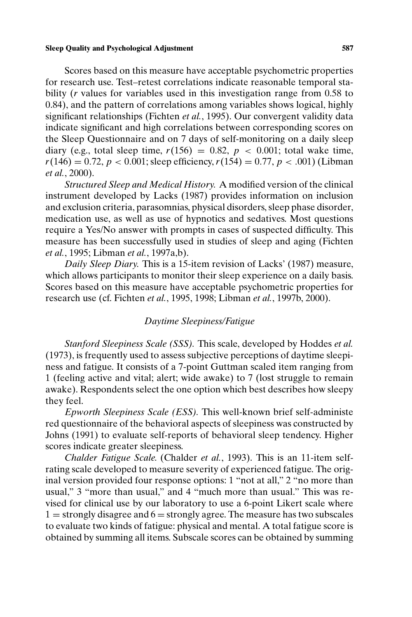Scores based on this measure have acceptable psychometric properties for research use. Test–retest correlations indicate reasonable temporal stability (*r* values for variables used in this investigation range from 0.58 to 0.84), and the pattern of correlations among variables shows logical, highly significant relationships (Fichten *et al.*, 1995). Our convergent validity data indicate significant and high correlations between corresponding scores on the Sleep Questionnaire and on 7 days of self-monitoring on a daily sleep diary (e.g., total sleep time,  $r(156) = 0.82$ ,  $p < 0.001$ ; total wake time,  $r(146) = 0.72$ ,  $p < 0.001$ ; sleep efficiency,  $r(154) = 0.77$ ,  $p < .001$ ) (Libman *et al.*, 2000).

*Structured Sleep and Medical History.* A modified version of the clinical instrument developed by Lacks (1987) provides information on inclusion and exclusion criteria, parasomnias, physical disorders, sleep phase disorder, medication use, as well as use of hypnotics and sedatives. Most questions require a Yes/No answer with prompts in cases of suspected difficulty. This measure has been successfully used in studies of sleep and aging (Fichten *et al.*, 1995; Libman *et al.*, 1997a,b).

*Daily Sleep Diary.* This is a 15-item revision of Lacks' (1987) measure, which allows participants to monitor their sleep experience on a daily basis. Scores based on this measure have acceptable psychometric properties for research use (cf. Fichten *et al.*, 1995, 1998; Libman *et al.*, 1997b, 2000).

### *Daytime Sleepiness/Fatigue*

*Stanford Sleepiness Scale (SSS).* This scale, developed by Hoddes *et al.* (1973), is frequently used to assess subjective perceptions of daytime sleepiness and fatigue. It consists of a 7-point Guttman scaled item ranging from 1 (feeling active and vital; alert; wide awake) to 7 (lost struggle to remain awake). Respondents select the one option which best describes how sleepy they feel.

*Epworth Sleepiness Scale (ESS).* This well-known brief self-administe red questionnaire of the behavioral aspects of sleepiness was constructed by Johns (1991) to evaluate self-reports of behavioral sleep tendency. Higher scores indicate greater sleepiness.

*Chalder Fatigue Scale.* (Chalder *et al.*, 1993). This is an 11-item selfrating scale developed to measure severity of experienced fatigue. The original version provided four response options: 1 "not at all," 2 "no more than usual," 3 "more than usual," and 4 "much more than usual." This was revised for clinical use by our laboratory to use a 6-point Likert scale where  $1 =$  strongly disagree and  $6 =$  strongly agree. The measure has two subscales to evaluate two kinds of fatigue: physical and mental. A total fatigue score is obtained by summing all items. Subscale scores can be obtained by summing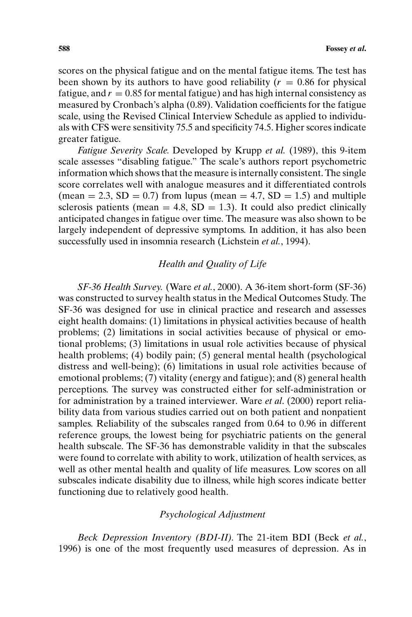scores on the physical fatigue and on the mental fatigue items. The test has been shown by its authors to have good reliability  $(r = 0.86$  for physical fatigue, and  $r = 0.85$  for mental fatigue) and has high internal consistency as measured by Cronbach's alpha (0.89). Validation coefficients for the fatigue scale, using the Revised Clinical Interview Schedule as applied to individuals with CFS were sensitivity 75.5 and specificity 74.5. Higher scores indicate greater fatigue.

*Fatigue Severity Scale.* Developed by Krupp *et al.* (1989), this 9-item scale assesses "disabling fatigue." The scale's authors report psychometric information which shows that the measure is internally consistent. The single score correlates well with analogue measures and it differentiated controls (mean  $= 2.3$ , SD  $= 0.7$ ) from lupus (mean  $= 4.7$ , SD  $= 1.5$ ) and multiple sclerosis patients (mean  $= 4.8$ , SD  $= 1.3$ ). It could also predict clinically anticipated changes in fatigue over time. The measure was also shown to be largely independent of depressive symptoms. In addition, it has also been successfully used in insomnia research (Lichstein *et al.*, 1994).

# *Health and Quality of Life*

*SF-36 Health Survey.* (Ware *et al.*, 2000). A 36-item short-form (SF-36) was constructed to survey health status in the Medical Outcomes Study. The SF-36 was designed for use in clinical practice and research and assesses eight health domains: (1) limitations in physical activities because of health problems; (2) limitations in social activities because of physical or emotional problems; (3) limitations in usual role activities because of physical health problems; (4) bodily pain; (5) general mental health (psychological distress and well-being); (6) limitations in usual role activities because of emotional problems; (7) vitality (energy and fatigue); and (8) general health perceptions. The survey was constructed either for self-administration or for administration by a trained interviewer. Ware *et al*. (2000) report reliability data from various studies carried out on both patient and nonpatient samples. Reliability of the subscales ranged from 0.64 to 0.96 in different reference groups, the lowest being for psychiatric patients on the general health subscale. The SF-36 has demonstrable validity in that the subscales were found to correlate with ability to work, utilization of health services, as well as other mental health and quality of life measures. Low scores on all subscales indicate disability due to illness, while high scores indicate better functioning due to relatively good health.

# *Psychological Adjustment*

*Beck Depression Inventory (BDI-II).* The 21-item BDI (Beck *et al.*, 1996) is one of the most frequently used measures of depression. As in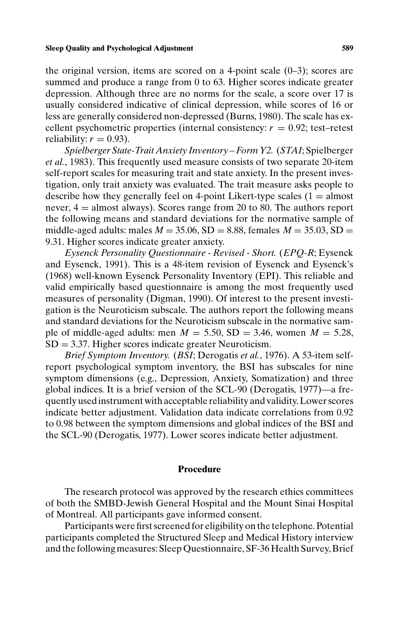the original version, items are scored on a 4-point scale  $(0-3)$ ; scores are summed and produce a range from 0 to 63. Higher scores indicate greater depression. Although three are no norms for the scale, a score over 17 is usually considered indicative of clinical depression, while scores of 16 or less are generally considered non-depressed (Burns, 1980). The scale has excellent psychometric properties (internal consistency:  $r = 0.92$ ; test–retest reliability:  $r = 0.93$ ).

*Spielberger State-Trait Anxiety Inventory – Form Y2.* (*STAI*; Spielberger *et al.*, 1983). This frequently used measure consists of two separate 20-item self-report scales for measuring trait and state anxiety. In the present investigation, only trait anxiety was evaluated. The trait measure asks people to describe how they generally feel on 4-point Likert-type scales  $(1 = \text{almost}$ never,  $4 =$  almost always). Scores range from 20 to 80. The authors report the following means and standard deviations for the normative sample of middle-aged adults: males  $M = 35.06$ , SD = 8.88, females  $M = 35.03$ , SD = 9.31. Higher scores indicate greater anxiety.

*Eysenck Personality Questionnaire - Revised - Short.* (*EPQ-R*; Eysenck and Eysenck, 1991). This is a 48-item revision of Eysenck and Eysenck's (1968) well-known Eysenck Personality Inventory (EPI). This reliable and valid empirically based questionnaire is among the most frequently used measures of personality (Digman, 1990). Of interest to the present investigation is the Neuroticism subscale. The authors report the following means and standard deviations for the Neuroticism subscale in the normative sample of middle-aged adults: men  $M = 5.50$ , SD = 3.46, women  $M = 5.28$ ,  $SD = 3.37$ . Higher scores indicate greater Neuroticism.

*Brief Symptom Inventory.* (*BSI*; Derogatis *et al.*, 1976). A 53-item selfreport psychological symptom inventory, the BSI has subscales for nine symptom dimensions (e.g., Depression, Anxiety, Somatization) and three global indices. It is a brief version of the SCL-90 (Derogatis, 1977)—a frequently used instrument with acceptable reliability and validity. Lower scores indicate better adjustment. Validation data indicate correlations from 0.92 to 0.98 between the symptom dimensions and global indices of the BSI and the SCL-90 (Derogatis, 1977). Lower scores indicate better adjustment.

### **Procedure**

The research protocol was approved by the research ethics committees of both the SMBD-Jewish General Hospital and the Mount Sinai Hospital of Montreal. All participants gave informed consent.

Participants were first screened for eligibility on the telephone. Potential participants completed the Structured Sleep and Medical History interview and the following measures: Sleep Questionnaire, SF-36 Health Survey, Brief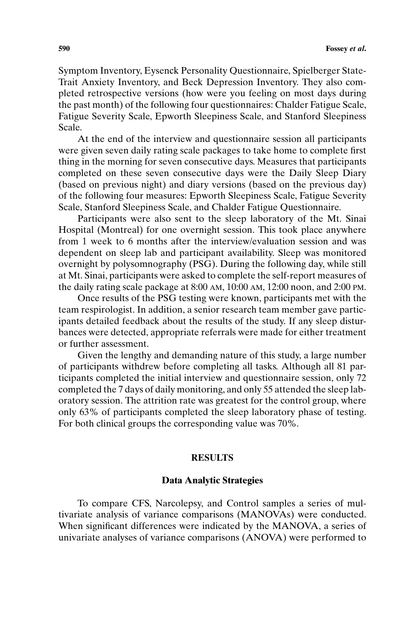Symptom Inventory, Eysenck Personality Questionnaire, Spielberger State-Trait Anxiety Inventory, and Beck Depression Inventory. They also completed retrospective versions (how were you feeling on most days during the past month) of the following four questionnaires: Chalder Fatigue Scale, Fatigue Severity Scale, Epworth Sleepiness Scale, and Stanford Sleepiness Scale.

At the end of the interview and questionnaire session all participants were given seven daily rating scale packages to take home to complete first thing in the morning for seven consecutive days. Measures that participants completed on these seven consecutive days were the Daily Sleep Diary (based on previous night) and diary versions (based on the previous day) of the following four measures: Epworth Sleepiness Scale, Fatigue Severity Scale, Stanford Sleepiness Scale, and Chalder Fatigue Questionnaire.

Participants were also sent to the sleep laboratory of the Mt. Sinai Hospital (Montreal) for one overnight session. This took place anywhere from 1 week to 6 months after the interview/evaluation session and was dependent on sleep lab and participant availability. Sleep was monitored overnight by polysomnography (PSG). During the following day, while still at Mt. Sinai, participants were asked to complete the self-report measures of the daily rating scale package at 8:00 AM, 10:00 AM, 12:00 noon, and 2:00 PM.

Once results of the PSG testing were known, participants met with the team respirologist. In addition, a senior research team member gave participants detailed feedback about the results of the study. If any sleep disturbances were detected, appropriate referrals were made for either treatment or further assessment.

Given the lengthy and demanding nature of this study, a large number of participants withdrew before completing all tasks. Although all 81 participants completed the initial interview and questionnaire session, only 72 completed the 7 days of daily monitoring, and only 55 attended the sleep laboratory session. The attrition rate was greatest for the control group, where only 63% of participants completed the sleep laboratory phase of testing. For both clinical groups the corresponding value was 70%.

### **RESULTS**

### **Data Analytic Strategies**

To compare CFS, Narcolepsy, and Control samples a series of multivariate analysis of variance comparisons (MANOVAs) were conducted. When significant differences were indicated by the MANOVA, a series of univariate analyses of variance comparisons (ANOVA) were performed to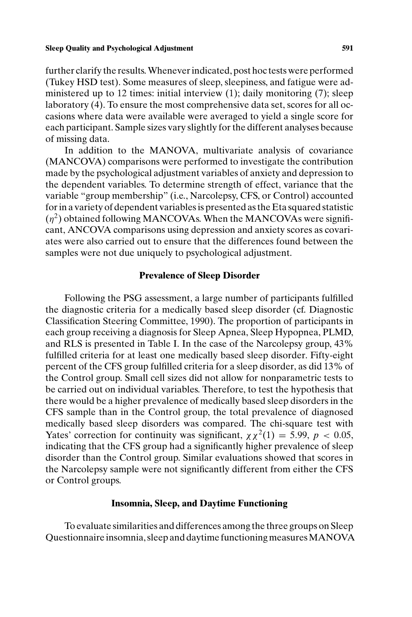further clarify the results. Whenever indicated, post hoc tests were performed (Tukey HSD test). Some measures of sleep, sleepiness, and fatigue were administered up to 12 times: initial interview (1); daily monitoring (7); sleep laboratory (4). To ensure the most comprehensive data set, scores for all occasions where data were available were averaged to yield a single score for each participant. Sample sizes vary slightly for the different analyses because of missing data.

In addition to the MANOVA, multivariate analysis of covariance (MANCOVA) comparisons were performed to investigate the contribution made by the psychological adjustment variables of anxiety and depression to the dependent variables. To determine strength of effect, variance that the variable "group membership" (i.e., Narcolepsy, CFS, or Control) accounted for in a variety of dependent variables is presented as the Eta squared statistic  $(\eta^2)$  obtained following MANCOVAs. When the MANCOVAs were significant, ANCOVA comparisons using depression and anxiety scores as covariates were also carried out to ensure that the differences found between the samples were not due uniquely to psychological adjustment.

### **Prevalence of Sleep Disorder**

Following the PSG assessment, a large number of participants fulfilled the diagnostic criteria for a medically based sleep disorder (cf. Diagnostic Classification Steering Committee, 1990). The proportion of participants in each group receiving a diagnosis for Sleep Apnea, Sleep Hypopnea, PLMD, and RLS is presented in Table I. In the case of the Narcolepsy group, 43% fulfilled criteria for at least one medically based sleep disorder. Fifty-eight percent of the CFS group fulfilled criteria for a sleep disorder, as did 13% of the Control group. Small cell sizes did not allow for nonparametric tests to be carried out on individual variables. Therefore, to test the hypothesis that there would be a higher prevalence of medically based sleep disorders in the CFS sample than in the Control group, the total prevalence of diagnosed medically based sleep disorders was compared. The chi-square test with Yates' correction for continuity was significant,  $\chi \chi^2(1) = 5.99$ ,  $p < 0.05$ , indicating that the CFS group had a significantly higher prevalence of sleep disorder than the Control group. Similar evaluations showed that scores in the Narcolepsy sample were not significantly different from either the CFS or Control groups.

### **Insomnia, Sleep, and Daytime Functioning**

To evaluate similarities and differences among the three groups on Sleep Questionnaire insomnia, sleep and daytime functioning measures MANOVA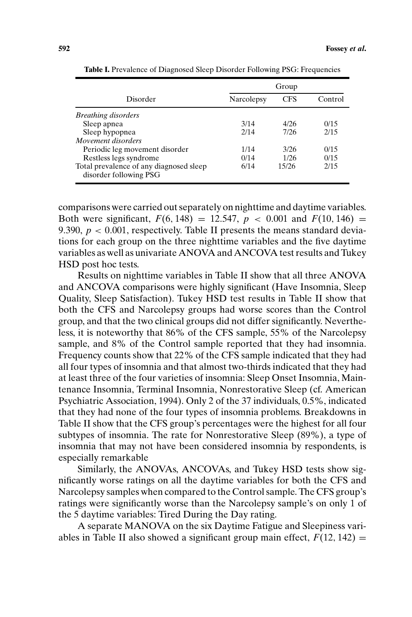|                                                                   |            | Group      |         |
|-------------------------------------------------------------------|------------|------------|---------|
| Disorder                                                          | Narcolepsy | <b>CFS</b> | Control |
| <b>Breathing disorders</b>                                        |            |            |         |
| Sleep apnea                                                       | 3/14       | 4/26       | 0/15    |
| Sleep hypopnea                                                    | 2/14       | 7/26       | 2/15    |
| Movement disorders                                                |            |            |         |
| Periodic leg movement disorder                                    | 1/14       | 3/26       | 0/15    |
| Restless legs syndrome                                            | 0/14       | 1/26       | 0/15    |
| Total prevalence of any diagnosed sleep<br>disorder following PSG | 6/14       | 15/26      | 2/15    |

**Table I.** Prevalence of Diagnosed Sleep Disorder Following PSG: Frequencies

comparisons were carried out separately on nighttime and daytime variables. Both were significant,  $F(6, 148) = 12.547$ ,  $p < 0.001$  and  $F(10, 146) =$ 9.390,  $p < 0.001$ , respectively. Table II presents the means standard deviations for each group on the three nighttime variables and the five daytime variables as well as univariate ANOVA and ANCOVA test results and Tukey HSD post hoc tests.

Results on nighttime variables in Table II show that all three ANOVA and ANCOVA comparisons were highly significant (Have Insomnia, Sleep Quality, Sleep Satisfaction). Tukey HSD test results in Table II show that both the CFS and Narcolepsy groups had worse scores than the Control group, and that the two clinical groups did not differ significantly. Nevertheless, it is noteworthy that 86% of the CFS sample, 55% of the Narcolepsy sample, and 8% of the Control sample reported that they had insomnia. Frequency counts show that 22% of the CFS sample indicated that they had all four types of insomnia and that almost two-thirds indicated that they had at least three of the four varieties of insomnia: Sleep Onset Insomnia, Maintenance Insomnia, Terminal Insomnia, Nonrestorative Sleep (cf. American Psychiatric Association, 1994). Only 2 of the 37 individuals, 0.5%, indicated that they had none of the four types of insomnia problems. Breakdowns in Table II show that the CFS group's percentages were the highest for all four subtypes of insomnia. The rate for Nonrestorative Sleep (89%), a type of insomnia that may not have been considered insomnia by respondents, is especially remarkable

Similarly, the ANOVAs, ANCOVAs, and Tukey HSD tests show significantly worse ratings on all the daytime variables for both the CFS and Narcolepsy samples when compared to the Control sample. The CFS group's ratings were significantly worse than the Narcolepsy sample's on only 1 of the 5 daytime variables: Tired During the Day rating.

A separate MANOVA on the six Daytime Fatigue and Sleepiness variables in Table II also showed a significant group main effect,  $F(12, 142) =$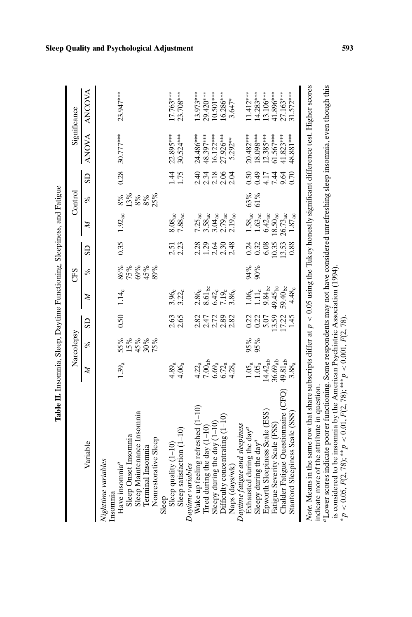| Table II. Insomnia, Sleep, Daytime Functioning, Sleepiness, and Fatigue                                                                     |                                                    |                     |                  |                                             |               |                  |                      |         |                  |              |               |
|---------------------------------------------------------------------------------------------------------------------------------------------|----------------------------------------------------|---------------------|------------------|---------------------------------------------|---------------|------------------|----------------------|---------|------------------|--------------|---------------|
|                                                                                                                                             |                                                    | Narcolepsy          |                  |                                             | GES           |                  |                      | Control |                  |              | Significance  |
| Variable                                                                                                                                    | $\mathbb{Z}$                                       | $\%$                | SD               | Z                                           | $\frac{6}{6}$ | SD               | $\mathbb{Z}$         | $\%$    | SD               | <b>ANOVA</b> | <b>ANCOVA</b> |
| Nighttime variables<br>Insomnia                                                                                                             |                                                    |                     |                  |                                             |               |                  |                      |         |                  |              |               |
| Have insomnia <sup>a</sup>                                                                                                                  | $1.39_{a}$                                         |                     | 0.50             | 1.14 <sub>c</sub>                           | 86%           | 0.35             | $1.92_{\rm ac}$      | 8%      | 0.28             | 30.777***    | 23.947***     |
| Sleep Onset Insomnia                                                                                                                        |                                                    | 55%<br>15%          |                  |                                             | 75%           |                  |                      | 13%     |                  |              |               |
| Sleep Maintenance Insomnia                                                                                                                  |                                                    | $\frac{45\%}{30\%}$ |                  |                                             | 69%<br>45%    |                  |                      | 8%8     |                  |              |               |
| <b>Terminal</b> Insomnia                                                                                                                    |                                                    |                     |                  |                                             |               |                  |                      |         |                  |              |               |
| Nonrestorative Sleep                                                                                                                        |                                                    | 75%                 |                  |                                             | 89%           |                  |                      | 25%     |                  |              |               |
| Sleep                                                                                                                                       |                                                    |                     |                  |                                             |               |                  |                      |         |                  |              |               |
| Sleep quality $(1-10)$                                                                                                                      | $4.89_{\rm a}$                                     |                     | 2.65<br>2.65     |                                             |               | 2.51<br>2.23     | 8.08 <sub>ac</sub>   |         | $\frac{4}{4}$    | 22.895***    | $17.763***$   |
| Sleep satisfaction (1-10)                                                                                                                   | 4.06a                                              |                     |                  | 3.96c<br>3.22c                              |               |                  | 7.88 <sub>ac</sub>   |         | 1.75             | $30.524***$  | 23.708***     |
| Davtime variables                                                                                                                           |                                                    |                     |                  |                                             |               |                  |                      |         |                  |              |               |
| Wake up feeling refreshed (1-10)                                                                                                            |                                                    |                     |                  |                                             |               | 2.28             | 7.25 <sub>ac</sub>   |         | 2.40             | 24.486***    | $13.973***$   |
| Fired during the day $(1-10)$                                                                                                               | $4.22a$<br>7.00 <sub>ab</sub><br>6.69 <sub>a</sub> |                     |                  | $\frac{2.86}{8.61}$ <sub>bc</sub>           |               | $1.29$<br>$2.64$ | 3.58 <sub>ac</sub>   |         |                  | 48.397***    | 29.420***     |
| Sleepy during the day $(1-10)$                                                                                                              |                                                    |                     |                  |                                             |               |                  | $3.04_{\text{ac}}$   |         | 2.34             | $16.122***$  | $10.501***$   |
| Difficulty concentrating (1-10)                                                                                                             | $6.72_a$<br>$4.28_a$                               |                     | 8.4588<br>8.4588 | 7.19 <sub>c</sub>                           |               | 2.30             | 2.79 <sub>ac</sub>   |         | $2.06$<br>$2.04$ | 27.926***    | $16.286***$   |
| Naps (days/wk)                                                                                                                              |                                                    |                     |                  | 3.86 <sub>c</sub>                           |               | 2.48             | 2.19 <sub>ac</sub>   |         |                  | 5.292**      | 3.647*        |
| Daytime fatigue and sleepiness                                                                                                              |                                                    |                     |                  |                                             |               |                  |                      |         |                  |              |               |
| Exhausted during the day <sup>a</sup>                                                                                                       | 1.05 <sub>a</sub>                                  | 95%                 | 0.22             | $1.06c$<br>$1.11c$<br>$9.84bc$<br>$49.45bc$ | 94%           | 0.24             | 1.58 <sub>ac</sub>   | 63%     | 0.50             | $20.482***$  | $1.412***$    |
| Sleepy during the day <sup><math>d</math></sup>                                                                                             | 1.05 <sub>a</sub>                                  | 95%                 | 0.22             |                                             | 90%           | 0.32             | 1.63 <sub>ac</sub>   | 61%     | 64.0             | $18.098***$  | $14.283***$   |
| Epworth Sleepiness Scale (ESS)                                                                                                              | $14.42_{\rm ab}$                                   |                     | 5.07             |                                             |               | 6.08             | $6.42$ <sub>ac</sub> |         | 4.17             | $12.385***$  | $13.106***$   |
| Fatigue Severity Scale (FSS)                                                                                                                | $36.69_{ab}$                                       |                     | 3.59             |                                             |               | 10.35            | $18.50_{ac}$         |         | 7.44             | 51.567***    | 41.896***     |
| Chalder Fatigue Questionnaire (CFQ)                                                                                                         | $49.81_{\rm ab}$                                   |                     | 17.22            | 59.40 <sub>bc</sub>                         |               | 13.53            | $26.73_{ac}$         |         | 9.64             | $41.823***$  | 27.163***     |
| Stanford Sleepiness Scale (SSS)                                                                                                             | $3.88_a$                                           |                     | 1.45             | 4.48c                                       |               | 0.88             | 1.87 <sub>ac</sub>   |         | 0.70             | 48.881***    | $31.572***$   |
| Note Means in the same row that share subscripts differ at $p \geq 0$ OS using the Tukey homestly significant difference test Higher scores |                                                    |                     |                  |                                             |               |                  |                      |         |                  |              |               |

Table II. Insomnia Sleep Daytime Functioning Sleepiness and Eatiene

 $< 0.05$  using the Tukey honestly significant difference test. Higher scores *p* <*Note.* Means in the same row that share subscripts differ at indicate more of the attribute in question. indicate more of the attribute in question.

*a*Lower scores indicate poorer functioning. Some respondents may not have considered unrefreshing sleep insomnia, even though this is considered to be insomnia by the American Psychiatric Association (1994).  ${}^*p < 0.05$ , *F*(2, 78); \*\*  $p < 0.01$ , *F*(2, 78); ∗∗∗  $p < 0.001$ , *F*(2, 78).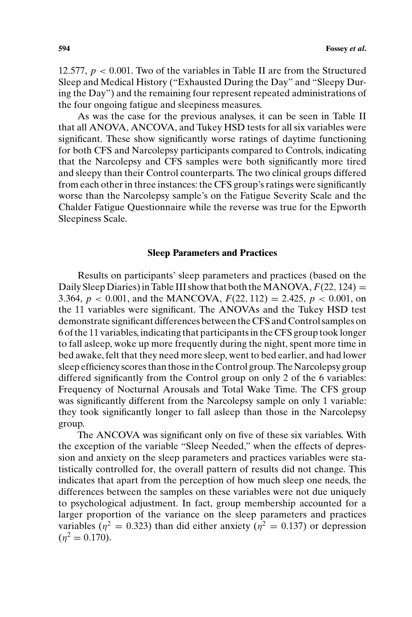12.577,  $p < 0.001$ . Two of the variables in Table II are from the Structured Sleep and Medical History ("Exhausted During the Day" and "Sleepy During the Day") and the remaining four represent repeated administrations of the four ongoing fatigue and sleepiness measures.

As was the case for the previous analyses, it can be seen in Table II that all ANOVA, ANCOVA, and Tukey HSD tests for all six variables were significant. These show significantly worse ratings of daytime functioning for both CFS and Narcolepsy participants compared to Controls, indicating that the Narcolepsy and CFS samples were both significantly more tired and sleepy than their Control counterparts. The two clinical groups differed from each other in three instances: the CFS group's ratings were significantly worse than the Narcolepsy sample's on the Fatigue Severity Scale and the Chalder Fatigue Questionnaire while the reverse was true for the Epworth Sleepiness Scale.

### **Sleep Parameters and Practices**

Results on participants' sleep parameters and practices (based on the Daily Sleep Diaries) in Table III show that both the MANOVA,  $F(22, 124) =$ 3.364,  $p < 0.001$ , and the MANCOVA,  $F(22, 112) = 2.425$ ,  $p < 0.001$ , on the 11 variables were significant. The ANOVAs and the Tukey HSD test demonstrate significant differences between the CFS and Control samples on 6 of the 11 variables, indicating that participants in the CFS group took longer to fall asleep, woke up more frequently during the night, spent more time in bed awake, felt that they need more sleep, went to bed earlier, and had lower sleep efficiency scores than those in the Control group. The Narcolepsy group differed significantly from the Control group on only 2 of the 6 variables: Frequency of Nocturnal Arousals and Total Wake Time. The CFS group was significantly different from the Narcolepsy sample on only 1 variable: they took significantly longer to fall asleep than those in the Narcolepsy group.

The ANCOVA was significant only on five of these six variables. With the exception of the variable "Sleep Needed," when the effects of depression and anxiety on the sleep parameters and practices variables were statistically controlled for, the overall pattern of results did not change. This indicates that apart from the perception of how much sleep one needs, the differences between the samples on these variables were not due uniquely to psychological adjustment. In fact, group membership accounted for a larger proportion of the variance on the sleep parameters and practices variables ( $\eta^2 = 0.323$ ) than did either anxiety ( $\eta^2 = 0.137$ ) or depression  $(\eta^2 = 0.170)$ .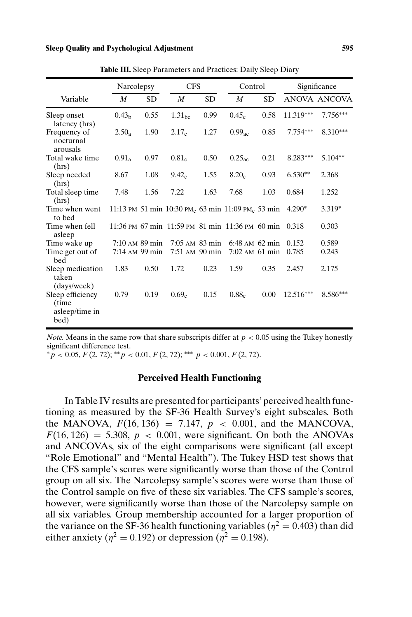|                                                      | Narcolepsy         |      | <b>CFS</b>                                                                |           | Control                           |      |            | Significance |
|------------------------------------------------------|--------------------|------|---------------------------------------------------------------------------|-----------|-----------------------------------|------|------------|--------------|
| Variable                                             | M                  | SD.  | M                                                                         | <b>SD</b> | M                                 | SD.  |            | ANOVA ANCOVA |
| Sleep onset<br>latency (hrs)                         | 0.43 <sub>b</sub>  | 0.55 | 1.31 <sub>bc</sub>                                                        | 0.99      | 0.45 <sub>c</sub>                 | 0.58 | 11.319***  | 7.756***     |
| Frequency of<br>nocturnal<br>arousals                | $2.50_a$           | 1.90 | $2.17_c$                                                                  | 1.27      | 0.99 <sub>ac</sub>                | 0.85 | $7.754***$ | 8.310***     |
| Total wake time<br>(hrs)                             | $0.91_a$           | 0.97 | $0.81_c$                                                                  | 0.50      | $0.25_{\rm ac}$                   | 0.21 | 8.283***   | 5.104**      |
| Sleep needed<br>(hrs)                                | 8.67               | 1.08 | 9.42c                                                                     | 1.55      | 8.20 <sub>c</sub>                 | 0.93 | $6.530**$  | 2.368        |
| Total sleep time<br>(hrs)                            | 7.48               | 1.56 | 7.22                                                                      | 1.63      | 7.68                              | 1.03 | 0.684      | 1.252        |
| Time when went<br>to bed                             |                    |      | 11:13 PM 51 min 10:30 PM <sub>c</sub> 63 min 11:09 PM <sub>c</sub> 53 min |           |                                   |      | $4.290*$   | 3.319*       |
| Time when fell<br>asleep                             |                    |      | 11:36 PM 67 min 11:59 PM 81 min 11:36 PM 60 min                           |           |                                   |      | 0.318      | 0.303        |
| Time wake up                                         | $7:10$ AM $89$ min |      | $7:05$ AM $83$ min                                                        |           | $6:48$ AM $62$ min                |      | 0.152      | 0.589        |
| Time get out of<br>bed                               | 7:14 AM 99 min     |      | 7:51 AM 90 min                                                            |           | $7:02 \text{ AM } 61 \text{ min}$ |      | 0.785      | 0.243        |
| Sleep medication<br>taken<br>(days/week)             | 1.83               | 0.50 | 1.72                                                                      | 0.23      | 1.59                              | 0.35 | 2.457      | 2.175        |
| Sleep efficiency<br>(time)<br>asleep/time in<br>bed) | 0.79               | 0.19 | 0.69 <sub>c</sub>                                                         | 0.15      | 0.88 <sub>c</sub>                 | 0.00 | 12.516***  | 8.586***     |

**Table III.** Sleep Parameters and Practices: Daily Sleep Diary

*Note.* Means in the same row that share subscripts differ at  $p < 0.05$  using the Tukey honestly significant difference test.

∗ *p* < 0.05, *F* (2, 72); ∗∗ *p* < 0.01, *F* (2, 72); ∗∗∗ *p* < 0.001, *F* (2, 72).

### **Perceived Health Functioning**

In Table IV results are presented for participants' perceived health functioning as measured by the SF-36 Health Survey's eight subscales. Both the MANOVA,  $F(16, 136) = 7.147$ ,  $p < 0.001$ , and the MANCOVA,  $F(16, 126) = 5.308$ ,  $p < 0.001$ , were significant. On both the ANOVAs and ANCOVAs, six of the eight comparisons were significant (all except "Role Emotional" and "Mental Health"). The Tukey HSD test shows that the CFS sample's scores were significantly worse than those of the Control group on all six. The Narcolepsy sample's scores were worse than those of the Control sample on five of these six variables. The CFS sample's scores, however, were significantly worse than those of the Narcolepsy sample on all six variables. Group membership accounted for a larger proportion of the variance on the SF-36 health functioning variables ( $\eta^2 = 0.403$ ) than did either anxiety ( $\eta^2 = 0.192$ ) or depression ( $\eta^2 = 0.198$ ).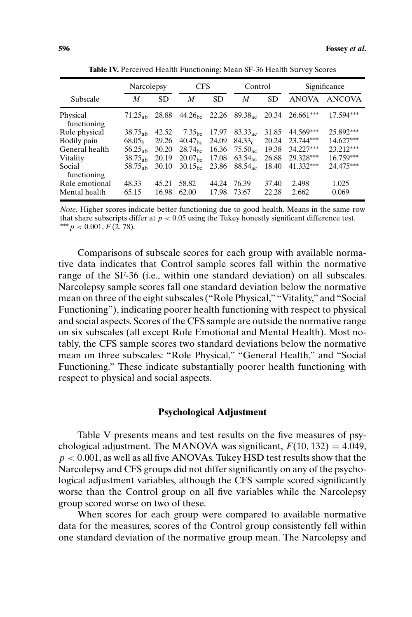|                         | Narcolepsy          |           | <b>CFS</b>          |       | Control      |           |              | Significance  |
|-------------------------|---------------------|-----------|---------------------|-------|--------------|-----------|--------------|---------------|
| Subscale                | M                   | <b>SD</b> | M                   | SD.   | M            | <b>SD</b> | <b>ANOVA</b> | <b>ANCOVA</b> |
| Physical<br>functioning | $71.25_{ab}$        | 28.88     | 44.26 <sub>bc</sub> | 22.26 | $89.38_{ac}$ | 20.34     | $26.661***$  | 17.594***     |
| Role physical           | 38.75 <sub>ab</sub> | 42.52     | 7.35 <sub>bc</sub>  | 17.97 | $83.33_{ac}$ | 31.85     | 44.569***    | 25.892***     |
| Bodily pain             | 68.05 <sub>b</sub>  | 29.26     | 40.47 <sub>bc</sub> | 24.09 | 84.33c       | 20.24     | 23.744***    | $14.627***$   |
| General health          | 56.25a <sub>h</sub> | 30.20     | 28.74 <sub>bc</sub> | 16.36 | $75.50_{ac}$ | 19.38     | 34.227***    | $23.212***$   |
| Vitality                | $38.75_{\rm ab}$    | 20.19     | $20.07_{\rm bc}$    | 17.08 | $63.54_{ac}$ | 26.88     | 29.328***    | $16.759***$   |
| Social<br>functioning   | $58.75_{\rm ab}$    | 30.10     | $30.15_{\rm bc}$    | 23.86 | $88.54_{ac}$ | 18.40     | 41.332***    | 24.475***     |
| Role emotional          | 48.33               | 45.21     | 58.82               | 44.24 | 76.39        | 37.40     | 2.498        | 1.025         |
| Mental health           | 65.15               | 16.98     | 62.00               | 17.98 | 73.67        | 22.28     | 2.662        | 0.069         |

**Table IV.** Perceived Health Functioning: Mean SF-36 Health Survey Scores

*Note*. Higher scores indicate better functioning due to good health. Means in the same row that share subscripts differ at  $p < 0.05$  using the Tukey honestly significant difference test.  $*** p < 0.001, F(2, 78).$ 

Comparisons of subscale scores for each group with available normative data indicates that Control sample scores fall within the normative range of the SF-36 (i.e., within one standard deviation) on all subscales. Narcolepsy sample scores fall one standard deviation below the normative mean on three of the eight subscales ("Role Physical," "Vitality," and "Social Functioning"), indicating poorer health functioning with respect to physical and social aspects. Scores of the CFS sample are outside the normative range on six subscales (all except Role Emotional and Mental Health). Most notably, the CFS sample scores two standard deviations below the normative mean on three subscales: "Role Physical," "General Health," and "Social Functioning." These indicate substantially poorer health functioning with respect to physical and social aspects.

### **Psychological Adjustment**

Table V presents means and test results on the five measures of psychological adjustment. The MANOVA was significant,  $F(10, 132) = 4.049$ ,  $p < 0.001$ , as well as all five ANOVAs. Tukey HSD test results show that the Narcolepsy and CFS groups did not differ significantly on any of the psychological adjustment variables, although the CFS sample scored significantly worse than the Control group on all five variables while the Narcolepsy group scored worse on two of these.

When scores for each group were compared to available normative data for the measures, scores of the Control group consistently fell within one standard deviation of the normative group mean. The Narcolepsy and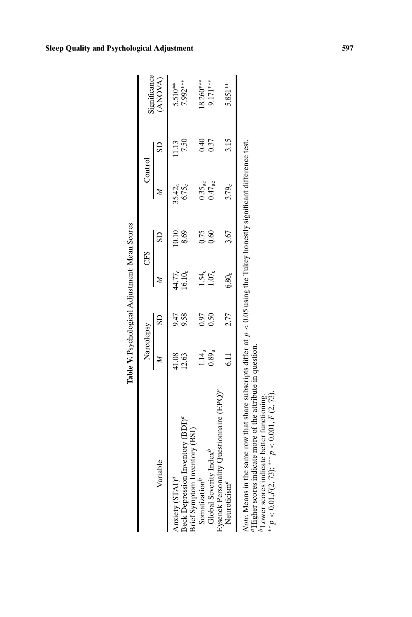|                                                                                                                             | Table V. Psychological Adjustment: Mean Scores |              |                                |                 |                    |      |              |
|-----------------------------------------------------------------------------------------------------------------------------|------------------------------------------------|--------------|--------------------------------|-----------------|--------------------|------|--------------|
|                                                                                                                             | Narcolepsy                                     |              |                                | CFS             | Control            |      | Significance |
| Variable                                                                                                                    |                                                |              |                                |                 |                    | S.   | (ANOVA)      |
| Anxiety (STAI) <sup>a</sup>                                                                                                 | 41.08                                          |              |                                | 10.10           | 35.42c             |      | 5.510**      |
| Beck Depression Inventory (BDI) <sup>a</sup>                                                                                | 12.63                                          | 9.38<br>9.58 | $44.77c$<br>16.10 <sub>c</sub> | <sub>3.69</sub> | 6.75 <sub>c</sub>  | 7.50 | 7.992***     |
| Brief Symptom Inventory (BSI)<br>Somatization <sup><i>b</i></sup>                                                           | $\frac{14}{3}$                                 | 0.97         | $1.54_c$                       | 52.75           | $0.35_{ac}$        | 0.40 | 8.260***     |
| Global Severity Index <sup>p</sup>                                                                                          | $0.89_{a}$                                     | 0.50         | $1.07_c$                       | .60             | 0.47 <sub>ac</sub> | 0.37 | 9.171***     |
| Eysenck Personality Questionnaire (EPQ) <sup>a</sup>                                                                        |                                                |              |                                |                 |                    |      |              |
| Neuroticism <sup>a</sup>                                                                                                    | 6.11                                           | 2.77         | $6.80c$                        | 3.67            | 3.79 <sub>c</sub>  | 3.15 | 5.851**      |
| Note Means in the same row that share subscripts differ at $p < 0.05$ using the Tukey honestly significant difference test. |                                                |              |                                |                 |                    |      |              |

*a*Higher scores indicate more of the attribute in question.

*b*Lower scores indicate better functioning.

∗∗ *p* < 0.01, *F*(2, 73); ∗∗∗  $p < 0.001, F(2, 73).$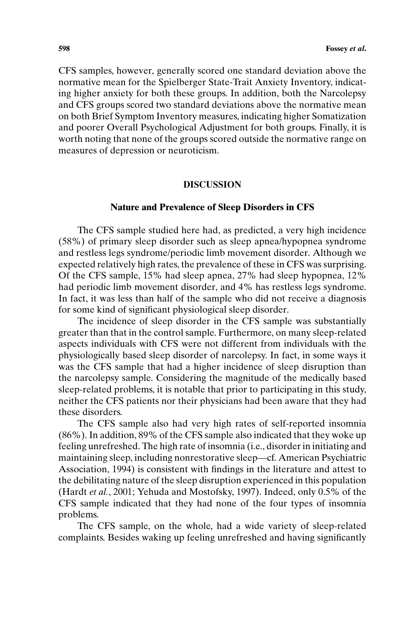CFS samples, however, generally scored one standard deviation above the normative mean for the Spielberger State-Trait Anxiety Inventory, indicating higher anxiety for both these groups. In addition, both the Narcolepsy and CFS groups scored two standard deviations above the normative mean on both Brief Symptom Inventory measures, indicating higher Somatization and poorer Overall Psychological Adjustment for both groups. Finally, it is worth noting that none of the groups scored outside the normative range on measures of depression or neuroticism.

#### **DISCUSSION**

### **Nature and Prevalence of Sleep Disorders in CFS**

The CFS sample studied here had, as predicted, a very high incidence (58%) of primary sleep disorder such as sleep apnea/hypopnea syndrome and restless legs syndrome/periodic limb movement disorder. Although we expected relatively high rates, the prevalence of these in CFS was surprising. Of the CFS sample, 15% had sleep apnea, 27% had sleep hypopnea, 12% had periodic limb movement disorder, and 4% has restless legs syndrome. In fact, it was less than half of the sample who did not receive a diagnosis for some kind of significant physiological sleep disorder.

The incidence of sleep disorder in the CFS sample was substantially greater than that in the control sample. Furthermore, on many sleep-related aspects individuals with CFS were not different from individuals with the physiologically based sleep disorder of narcolepsy. In fact, in some ways it was the CFS sample that had a higher incidence of sleep disruption than the narcolepsy sample. Considering the magnitude of the medically based sleep-related problems, it is notable that prior to participating in this study, neither the CFS patients nor their physicians had been aware that they had these disorders.

The CFS sample also had very high rates of self-reported insomnia (86%). In addition, 89% of the CFS sample also indicated that they woke up feeling unrefreshed. The high rate of insomnia (i.e., disorder in initiating and maintaining sleep, including nonrestorative sleep—cf. American Psychiatric Association, 1994) is consistent with findings in the literature and attest to the debilitating nature of the sleep disruption experienced in this population (Hardt *et al.*, 2001; Yehuda and Mostofsky, 1997). Indeed, only 0.5% of the CFS sample indicated that they had none of the four types of insomnia problems.

The CFS sample, on the whole, had a wide variety of sleep-related complaints. Besides waking up feeling unrefreshed and having significantly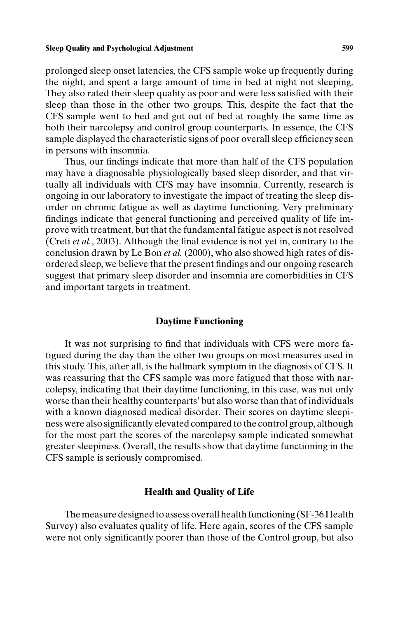prolonged sleep onset latencies, the CFS sample woke up frequently during the night, and spent a large amount of time in bed at night not sleeping. They also rated their sleep quality as poor and were less satisfied with their sleep than those in the other two groups. This, despite the fact that the CFS sample went to bed and got out of bed at roughly the same time as both their narcolepsy and control group counterparts. In essence, the CFS sample displayed the characteristic signs of poor overall sleep efficiency seen in persons with insomnia.

Thus, our findings indicate that more than half of the CFS population may have a diagnosable physiologically based sleep disorder, and that virtually all individuals with CFS may have insomnia. Currently, research is ongoing in our laboratory to investigate the impact of treating the sleep disorder on chronic fatigue as well as daytime functioning. Very preliminary findings indicate that general functioning and perceived quality of life improve with treatment, but that the fundamental fatigue aspect is not resolved (Creti *et al.*, 2003). Although the final evidence is not yet in, contrary to the conclusion drawn by Le Bon *et al.* (2000), who also showed high rates of disordered sleep, we believe that the present findings and our ongoing research suggest that primary sleep disorder and insomnia are comorbidities in CFS and important targets in treatment.

### **Daytime Functioning**

It was not surprising to find that individuals with CFS were more fatigued during the day than the other two groups on most measures used in this study. This, after all, is the hallmark symptom in the diagnosis of CFS. It was reassuring that the CFS sample was more fatigued that those with narcolepsy, indicating that their daytime functioning, in this case, was not only worse than their healthy counterparts' but also worse than that of individuals with a known diagnosed medical disorder. Their scores on daytime sleepiness were also significantly elevated compared to the control group, although for the most part the scores of the narcolepsy sample indicated somewhat greater sleepiness. Overall, the results show that daytime functioning in the CFS sample is seriously compromised.

### **Health and Quality of Life**

The measure designed to assess overall health functioning (SF-36 Health Survey) also evaluates quality of life. Here again, scores of the CFS sample were not only significantly poorer than those of the Control group, but also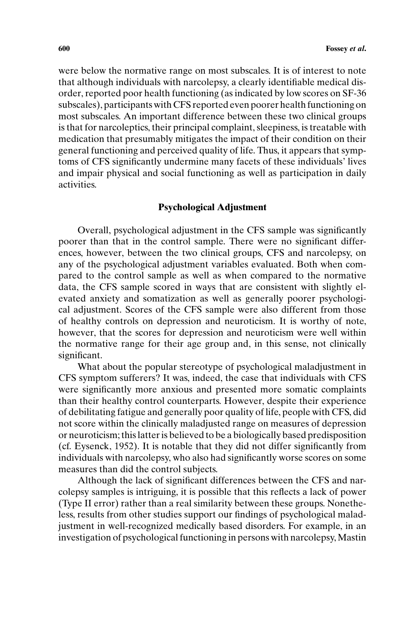were below the normative range on most subscales. It is of interest to note that although individuals with narcolepsy, a clearly identifiable medical disorder, reported poor health functioning (as indicated by low scores on SF-36 subscales), participants with CFS reported even poorer health functioning on most subscales. An important difference between these two clinical groups is that for narcoleptics, their principal complaint, sleepiness, is treatable with medication that presumably mitigates the impact of their condition on their general functioning and perceived quality of life. Thus, it appears that symptoms of CFS significantly undermine many facets of these individuals' lives and impair physical and social functioning as well as participation in daily activities.

### **Psychological Adjustment**

Overall, psychological adjustment in the CFS sample was significantly poorer than that in the control sample. There were no significant differences, however, between the two clinical groups, CFS and narcolepsy, on any of the psychological adjustment variables evaluated. Both when compared to the control sample as well as when compared to the normative data, the CFS sample scored in ways that are consistent with slightly elevated anxiety and somatization as well as generally poorer psychological adjustment. Scores of the CFS sample were also different from those of healthy controls on depression and neuroticism. It is worthy of note, however, that the scores for depression and neuroticism were well within the normative range for their age group and, in this sense, not clinically significant.

What about the popular stereotype of psychological maladjustment in CFS symptom sufferers? It was, indeed, the case that individuals with CFS were significantly more anxious and presented more somatic complaints than their healthy control counterparts. However, despite their experience of debilitating fatigue and generally poor quality of life, people with CFS, did not score within the clinically maladjusted range on measures of depression or neuroticism; this latter is believed to be a biologically based predisposition (cf. Eysenck, 1952). It is notable that they did not differ significantly from individuals with narcolepsy, who also had significantly worse scores on some measures than did the control subjects.

Although the lack of significant differences between the CFS and narcolepsy samples is intriguing, it is possible that this reflects a lack of power (Type II error) rather than a real similarity between these groups. Nonetheless, results from other studies support our findings of psychological maladjustment in well-recognized medically based disorders. For example, in an investigation of psychological functioning in persons with narcolepsy, Mastin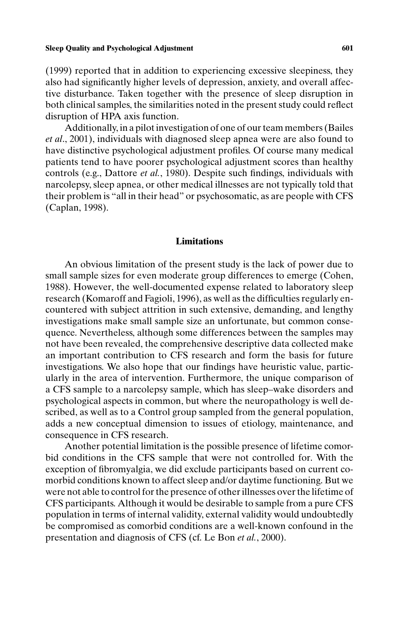(1999) reported that in addition to experiencing excessive sleepiness, they also had significantly higher levels of depression, anxiety, and overall affective disturbance. Taken together with the presence of sleep disruption in both clinical samples, the similarities noted in the present study could reflect disruption of HPA axis function.

Additionally, in a pilot investigation of one of our team members (Bailes *et al*., 2001), individuals with diagnosed sleep apnea were are also found to have distinctive psychological adjustment profiles. Of course many medical patients tend to have poorer psychological adjustment scores than healthy controls (e.g., Dattore *et al.*, 1980). Despite such findings, individuals with narcolepsy, sleep apnea, or other medical illnesses are not typically told that their problem is "all in their head" or psychosomatic, as are people with CFS (Caplan, 1998).

### **Limitations**

An obvious limitation of the present study is the lack of power due to small sample sizes for even moderate group differences to emerge (Cohen, 1988). However, the well-documented expense related to laboratory sleep research (Komaroff and Fagioli, 1996), as well as the difficulties regularly encountered with subject attrition in such extensive, demanding, and lengthy investigations make small sample size an unfortunate, but common consequence. Nevertheless, although some differences between the samples may not have been revealed, the comprehensive descriptive data collected make an important contribution to CFS research and form the basis for future investigations. We also hope that our findings have heuristic value, particularly in the area of intervention. Furthermore, the unique comparison of a CFS sample to a narcolepsy sample, which has sleep–wake disorders and psychological aspects in common, but where the neuropathology is well described, as well as to a Control group sampled from the general population, adds a new conceptual dimension to issues of etiology, maintenance, and consequence in CFS research.

Another potential limitation is the possible presence of lifetime comorbid conditions in the CFS sample that were not controlled for. With the exception of fibromyalgia, we did exclude participants based on current comorbid conditions known to affect sleep and/or daytime functioning. But we were not able to control for the presence of other illnesses over the lifetime of CFS participants. Although it would be desirable to sample from a pure CFS population in terms of internal validity, external validity would undoubtedly be compromised as comorbid conditions are a well-known confound in the presentation and diagnosis of CFS (cf. Le Bon *et al.*, 2000).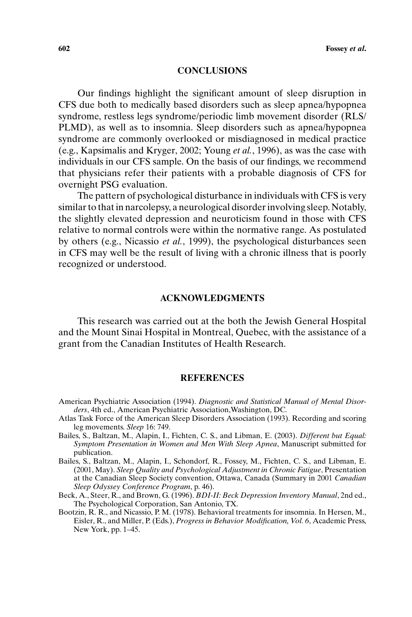#### **CONCLUSIONS**

Our findings highlight the significant amount of sleep disruption in CFS due both to medically based disorders such as sleep apnea/hypopnea syndrome, restless legs syndrome/periodic limb movement disorder (RLS/ PLMD), as well as to insomnia. Sleep disorders such as apnea/hypopnea syndrome are commonly overlooked or misdiagnosed in medical practice (e.g., Kapsimalis and Kryger, 2002; Young *et al.*, 1996), as was the case with individuals in our CFS sample. On the basis of our findings, we recommend that physicians refer their patients with a probable diagnosis of CFS for overnight PSG evaluation.

The pattern of psychological disturbance in individuals with CFS is very similar to that in narcolepsy, a neurological disorder involving sleep. Notably, the slightly elevated depression and neuroticism found in those with CFS relative to normal controls were within the normative range. As postulated by others (e.g., Nicassio *et al.*, 1999), the psychological disturbances seen in CFS may well be the result of living with a chronic illness that is poorly recognized or understood.

### **ACKNOWLEDGMENTS**

This research was carried out at the both the Jewish General Hospital and the Mount Sinai Hospital in Montreal, Quebec, with the assistance of a grant from the Canadian Institutes of Health Research.

### **REFERENCES**

- American Psychiatric Association (1994). *Diagnostic and Statistical Manual of Mental Disorders*, 4th ed., American Psychiatric Association,Washington, DC.
- Atlas Task Force of the American Sleep Disorders Association (1993). Recording and scoring leg movements. *Sleep* 16: 749.
- Bailes, S., Baltzan, M., Alapin, I., Fichten, C. S., and Libman, E. (2003). *Different but Equal: Symptom Presentation in Women and Men With Sleep Apnea*, Manuscript submitted for publication.
- Bailes, S., Baltzan, M., Alapin, I., Schondorf, R., Fossey, M., Fichten, C. S., and Libman, E. (2001, May). *Sleep Quality and Psychological Adjustment in Chronic Fatigue*, Presentation at the Canadian Sleep Society convention, Ottawa, Canada (Summary in 2001 *Canadian Sleep Odyssey Conference Program*, p. 46).
- Beck, A., Steer, R., and Brown, G. (1996). *BDI-II: Beck Depression Inventory Manual*, 2nd ed., The Psychological Corporation, San Antonio, TX.
- Bootzin, R. R., and Nicassio, P. M. (1978). Behavioral treatments for insomnia. In Hersen, M., Eisler, R., and Miller, P. (Eds.), *Progress in Behavior Modification, Vol. 6*, Academic Press, New York, pp. 1–45.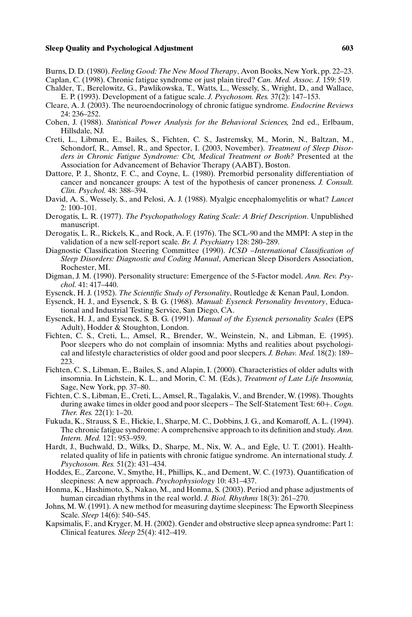Burns, D. D. (1980). *Feeling Good: The New Mood Therapy*, Avon Books, New York, pp. 22–23. Caplan, C. (1998). Chronic fatigue syndrome or just plain tired? *Can. Med. Assoc. J.* 159: 519. Chalder, T., Berelowitz, G., Pawlikowska, T., Watts, L., Wessely, S., Wright, D., and Wallace,

- E. P. (1993). Development of a fatigue scale. *J. Psychosom. Res.* 37(2): 147–153.
- Cleare, A. J. (2003). The neuroendocrinology of chronic fatigue syndrome. *Endocrine Reviews* 24: 236–252.
- Cohen, J. (1988). *Statistical Power Analysis for the Behavioral Sciences,* 2nd ed., Erlbaum, Hillsdale, NJ.
- Creti, L., Libman, E., Bailes, S., Fichten, C. S., Jastremsky, M., Morin, N., Baltzan, M., Schondorf, R., Amsel, R., and Spector, I. (2003, November). *Treatment of Sleep Disorders in Chronic Fatigue Syndrome: Cbt, Medical Treatment or Both?* Presented at the Association for Advancement of Behavior Therapy (AABT), Boston.
- Dattore, P. J., Shontz, F. C., and Coyne, L. (1980). Premorbid personality differentiation of cancer and noncancer groups: A test of the hypothesis of cancer proneness. *J. Consult. Clin. Psychol.* 48: 388–394.
- David, A. S., Wessely, S., and Pelosi, A. J. (1988). Myalgic encephalomyelitis or what? *Lancet* 2: 100–101.
- Derogatis, L. R. (1977). *The Psychopathology Rating Scale: A Brief Description*. Unpublished manuscript.
- Derogatis, L. R., Rickels, K., and Rock, A. F. (1976). The SCL-90 and the MMPI: A step in the validation of a new self-report scale. *Br. J. Psychiatry* 128: 280–289.
- Diagnostic Classification Steering Committee (1990). *ICSD –International Classification of Sleep Disorders: Diagnostic and Coding Manual*, American Sleep Disorders Association, Rochester, MI.
- Digman, J. M. (1990). Personality structure: Emergence of the 5-Factor model. *Ann. Rev. Psychol.* 41: 417–440.
- Eysenck, H. J. (1952). *The Scientific Study of Personality*, Routledge & Kenan Paul, London.
- Eysenck, H. J., and Eysenck, S. B. G. (1968). *Manual: Eysenck Personality Inventory*, Educational and Industrial Testing Service, San Diego, CA.
- Eysenck, H. J., and Eysenck, S. B. G. (1991). *Manual of the Eysenck personality Scales* (EPS Adult), Hodder & Stoughton, London.
- Fichten, C. S., Creti, L., Amsel, R., Brender, W., Weinstein, N., and Libman, E. (1995). Poor sleepers who do not complain of insomnia: Myths and realities about psychological and lifestyle characteristics of older good and poor sleepers. *J. Behav. Med.* 18(2): 189– 223.
- Fichten, C. S., Libman, E., Bailes, S., and Alapin, I. (2000). Characteristics of older adults with insomnia. In Lichstein, K. L., and Morin, C. M. (Eds.), *Treatment of Late Life Insomnia,* Sage, New York, pp. 37–80.
- Fichten, C. S., Libman, E., Creti, L., Amsel, R., Tagalakis, V., and Brender, W. (1998). Thoughts during awake times in older good and poor sleepers – The Self-Statement Test: 60+. *Cogn. Ther. Res.* 22(1): 1–20.
- Fukuda, K., Strauss, S. E., Hickie, I., Sharpe, M. C., Dobbins, J. G., and Komaroff, A. L. (1994). The chronic fatigue syndrome: A comprehensive approach to its definition and study. *Ann. Intern. Med.* 121: 953–959.
- Hardt, J., Buchwald, D., Wilks, D., Sharpe, M., Nix, W. A., and Egle, U. T. (2001). Healthrelated quality of life in patients with chronic fatigue syndrome. An international study. *J. Psychosom. Res.* 51(2): 431–434.
- Hoddes, E., Zarcone, V., Smythe, H., Phillips, K., and Dement, W. C. (1973). Quantification of sleepiness: A new approach. *Psychophysiology* 10: 431–437.
- Honma, K., Hashimoto, S., Nakao, M., and Honma, S. (2003). Period and phase adjustments of human circadian rhythms in the real world. *J. Biol. Rhythms* 18(3): 261–270.
- Johns, M. W. (1991). A new method for measuring daytime sleepiness: The Epworth Sleepiness Scale. *Sleep* 14(6): 540–545.
- Kapsimalis, F., and Kryger, M. H. (2002). Gender and obstructive sleep apnea syndrome: Part 1: Clinical features. *Sleep* 25(4): 412–419.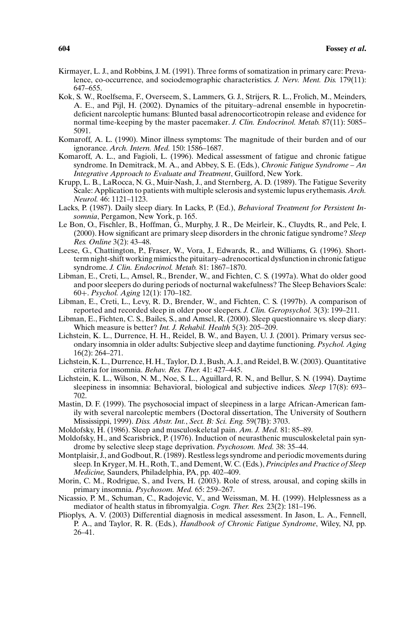- Kirmayer, L. J., and Robbins, J. M. (1991). Three forms of somatization in primary care: Prevalence, co-occurrence, and sociodemographic characteristics. *J. Nerv. Ment. Dis.* 179(11): 647–655.
- Kok, S. W., Roelfsema, F., Overseem, S., Lammers, G. J., Strijers, R. L., Frolich, M., Meinders, A. E., and Pijl, H. (2002). Dynamics of the pituitary–adrenal ensemble in hypocretindeficient narcoleptic humans: Blunted basal adrenocorticotropin release and evidence for normal time-keeping by the master pacemaker. *J. Clin. Endocrinol. Metab.* 87(11): 5085– 5091.
- Komaroff, A. L. (1990). Minor illness symptoms: The magnitude of their burden and of our ignorance. *Arch. Intern. Med.* 150: 1586–1687.
- Komaroff, A. L., and Fagioli, L. (1996). Medical assessment of fatigue and chronic fatigue syndrome. In Demitrack, M. A., and Abbey, S. E. (Eds.), *Chronic Fatigue Syndrome – An Integrative Approach to Evaluate and Treatment*, Guilford, New York.
- Krupp, L. B., LaRocca, N. G., Muir-Nash, J., and Sternberg, A. D. (1989). The Fatigue Severity Scale: Application to patients with multiple sclerosis and systemic lupus erythemasis. *Arch. Neurol.* 46: 1121–1123.
- Lacks, P. (1987). Daily sleep diary. In Lacks, P. (Ed.), *Behavioral Treatment for Persistent Insomnia*, Pergamon, New York, p. 165.
- Le Bon, O., Fischler, B., Hoffman, G., Murphy, J. R., De Meirleir, K., Cluydts, R., and Pelc, I. (2000). How significant are primary sleep disorders in the chronic fatigue syndrome? *Sleep Res. Online* 3(2): 43–48.
- Leese, G., Chattington, P., Fraser, W., Vora, J., Edwards, R., and Williams, G. (1996). Shortterm night-shift working mimics the pituitary–adrenocortical dysfunction in chronic fatigue syndrome. *J. Clin. Endocrinol. Metab.* 81: 1867–1870.
- Libman, E., Creti, L., Amsel, R., Brender, W., and Fichten, C. S. (1997a). What do older good and poor sleepers do during periods of nocturnal wakefulness? The Sleep Behaviors Scale: 60+. *Psychol. Aging* 12(1): 170–182.
- Libman, E., Creti, L., Levy, R. D., Brender, W., and Fichten, C. S. (1997b). A comparison of reported and recorded sleep in older poor sleepers. *J. Clin. Geropsychol.* 3(3): 199–211.
- Libman, E., Fichten, C. S., Bailes, S., and Amsel, R. (2000). Sleep questionnaire vs. sleep diary: Which measure is better? *Int. J. Rehabil. Health* 5(3): 205–209.
- Lichstein, K. L., Durrence, H. H., Reidel, B. W., and Bayen, U. J. (2001). Primary versus secondary insomnia in older adults: Subjective sleep and daytime functioning. *Psychol. Aging* 16(2): 264–271.
- Lichstein, K. L., Durrence, H. H., Taylor, D. J., Bush, A. J., and Reidel, B. W. (2003). Quantitative criteria for insomnia. *Behav. Res. Ther.* 41: 427–445.
- Lichstein, K. L., Wilson, N. M., Noe, S. L., Aguillard, R. N., and Bellur, S. N. (1994). Daytime sleepiness in insomnia: Behavioral, biological and subjective indices. *Sleep* 17(8): 693– 702.
- Mastin, D. F. (1999). The psychosocial impact of sleepiness in a large African-American family with several narcoleptic members (Doctoral dissertation, The University of Southern Mississippi, 1999). *Diss. Abstr. Int.*, *Sect. B: Sci. Eng.* 59(7B): 3703.
- Moldofsky, H. (1986). Sleep and musculoskeletal pain. *Am. J. Med.* 81: 85–89.
- Moldofsky, H., and Scarisbrick, P. (1976). Induction of neurasthenic musculoskeletal pain syndrome by selective sleep stage deprivation. *Psychosom. Med.* 38: 35–44.
- Montplaisir, J., and Godbout, R. (1989). Restless legs syndrome and periodic movements during sleep. In Kryger, M. H., Roth, T., and Dement, W. C. (Eds.), *Principles and Practice of Sleep Medicine,* Saunders, Philadelphia, PA, pp. 402–409.
- Morin, C. M., Rodrigue, S., and Ivers, H. (2003). Role of stress, arousal, and coping skills in primary insomnia. *Psychosom. Med.* 65: 259–267.
- Nicassio, P. M., Schuman, C., Radojevic, V., and Weissman, M. H. (1999). Helplessness as a mediator of health status in fibromyalgia. *Cogn. Ther. Res.* 23(2): 181–196.
- Plioplys, A. V. (2003) Differential diagnosis in medical assessment. In Jason, L. A., Fennell, P. A., and Taylor, R. R. (Eds.), *Handbook of Chronic Fatigue Syndrome*, Wiley, NJ, pp. 26–41.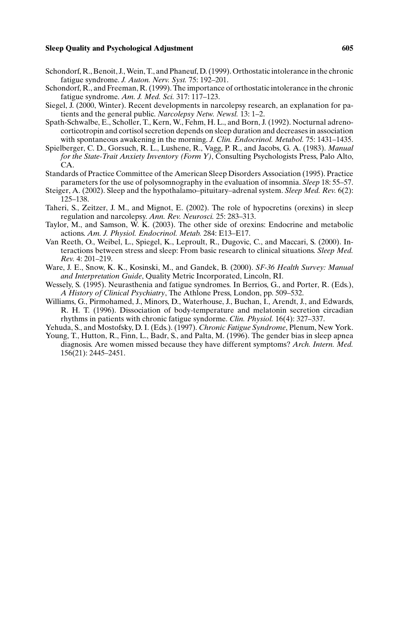- Schondorf, R., Benoit, J., Wein, T., and Phaneuf, D. (1999). Orthostatic intolerance in the chronic fatigue syndrome. *J. Auton. Nerv. Syst.* 75: 192–201.
- Schondorf, R., and Freeman, R. (1999). The importance of orthostatic intolerance in the chronic fatigue syndrome. *Am. J. Med. Sci.* 317: 117–123.
- Siegel, J. (2000, Winter). Recent developments in narcolepsy research, an explanation for patients and the general public. *Narcolepsy Netw. Newsl.* 13: 1–2.
- Spath-Schwalbe, E., Scholler, T., Kern, W., Fehm, H. L., and Born, J. (1992). Nocturnal adrenocorticotropin and cortisol secretion depends on sleep duration and decreases in association with spontaneous awakening in the morning. *J. Clin. Endocrinol. Metabol.* 75: 1431–1435.
- Spielberger, C. D., Gorsuch, R. L., Lushene, R., Vagg, P. R., and Jacobs, G. A. (1983). *Manual for the State-Trait Anxiety Inventory (Form Y)*, Consulting Psychologists Press, Palo Alto, CA.
- Standards of Practice Committee of the American Sleep Disorders Association (1995). Practice parameters for the use of polysomnography in the evaluation of insomnia. *Sleep* 18: 55–57.
- Steiger, A. (2002). Sleep and the hypothalamo–pituitary–adrenal system. *Sleep Med. Rev.* 6(2): 125–138.
- Taheri, S., Zeitzer, J. M., and Mignot, E. (2002). The role of hypocretins (orexins) in sleep regulation and narcolepsy. *Ann. Rev. Neurosci.* 25: 283–313.
- Taylor, M., and Samson, W. K. (2003). The other side of orexins: Endocrine and metabolic actions. *Am. J. Physiol. Endocrinol. Metab.* 284: E13–E17.
- Van Reeth, O., Weibel, L., Spiegel, K., Leproult, R., Dugovic, C., and Maccari, S. (2000). Interactions between stress and sleep: From basic research to clinical situations. *Sleep Med. Rev.* 4: 201–219.
- Ware, J. E., Snow, K. K., Kosinski, M., and Gandek, B. (2000). *SF-36 Health Survey: Manual and Interpretation Guide*, Quality Metric Incorporated, Lincoln, RI.
- Wessely, S. (1995). Neurasthenia and fatigue syndromes. In Berrios, G., and Porter, R. (Eds.), *A History of Clinical Psychiatry*, The Athlone Press, London, pp. 509–532.
- Williams, G., Pirmohamed, J., Minors, D., Waterhouse, J., Buchan, I., Arendt, J., and Edwards, R. H. T. (1996). Dissociation of body-temperature and melatonin secretion circadian rhythms in patients with chronic fatigue syndorme. *Clin. Physiol.* 16(4): 327–337.
- Yehuda, S., and Mostofsky, D. I. (Eds.). (1997). *Chronic Fatigue Syndrome*, Plenum, New York.
- Young, T., Hutton, R., Finn, L., Badr, S., and Palta, M. (1996). The gender bias in sleep apnea diagnosis. Are women missed because they have different symptoms? *Arch. Intern. Med.* 156(21): 2445–2451.